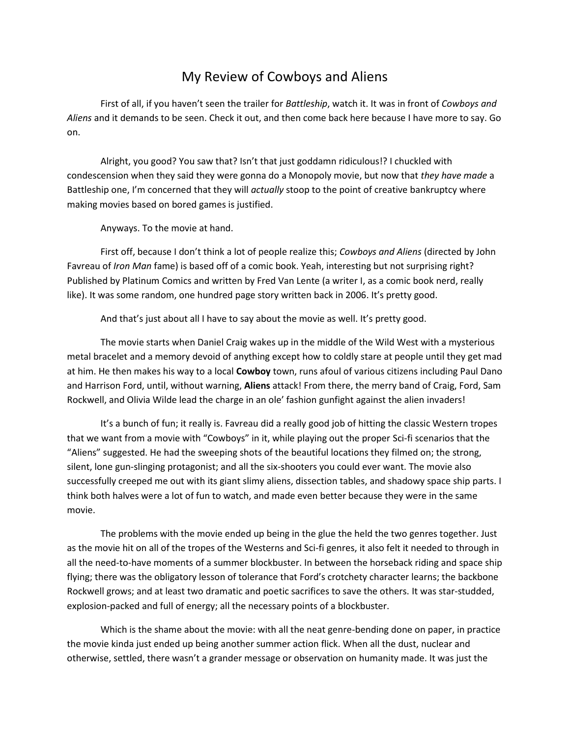## My Review of Cowboys and Aliens

First of all, if you haven't seen the trailer for *Battleship*, watch it. It was in front of *Cowboys and Aliens* and it demands to be seen. Check it out, and then come back here because I have more to say. Go on.

Alright, you good? You saw that? Isn't that just goddamn ridiculous!? I chuckled with condescension when they said they were gonna do a Monopoly movie, but now that *they have made* a Battleship one, I'm concerned that they will *actually* stoop to the point of creative bankruptcy where making movies based on bored games is justified.

Anyways. To the movie at hand.

First off, because I don't think a lot of people realize this; *Cowboys and Aliens* (directed by John Favreau of *Iron Man* fame) is based off of a comic book. Yeah, interesting but not surprising right? Published by Platinum Comics and written by Fred Van Lente (a writer I, as a comic book nerd, really like). It was some random, one hundred page story written back in 2006. It's pretty good.

And that's just about all I have to say about the movie as well. It's pretty good.

The movie starts when Daniel Craig wakes up in the middle of the Wild West with a mysterious metal bracelet and a memory devoid of anything except how to coldly stare at people until they get mad at him. He then makes his way to a local **Cowboy** town, runs afoul of various citizens including Paul Dano and Harrison Ford, until, without warning, **Aliens** attack! From there, the merry band of Craig, Ford, Sam Rockwell, and Olivia Wilde lead the charge in an ole' fashion gunfight against the alien invaders!

It's a bunch of fun; it really is. Favreau did a really good job of hitting the classic Western tropes that we want from a movie with "Cowboys" in it, while playing out the proper Sci-fi scenarios that the "Aliens" suggested. He had the sweeping shots of the beautiful locations they filmed on; the strong, silent, lone gun-slinging protagonist; and all the six-shooters you could ever want. The movie also successfully creeped me out with its giant slimy aliens, dissection tables, and shadowy space ship parts. I think both halves were a lot of fun to watch, and made even better because they were in the same movie.

The problems with the movie ended up being in the glue the held the two genres together. Just as the movie hit on all of the tropes of the Westerns and Sci-fi genres, it also felt it needed to through in all the need-to-have moments of a summer blockbuster. In between the horseback riding and space ship flying; there was the obligatory lesson of tolerance that Ford's crotchety character learns; the backbone Rockwell grows; and at least two dramatic and poetic sacrifices to save the others. It was star-studded, explosion-packed and full of energy; all the necessary points of a blockbuster.

Which is the shame about the movie: with all the neat genre-bending done on paper, in practice the movie kinda just ended up being another summer action flick. When all the dust, nuclear and otherwise, settled, there wasn't a grander message or observation on humanity made. It was just the